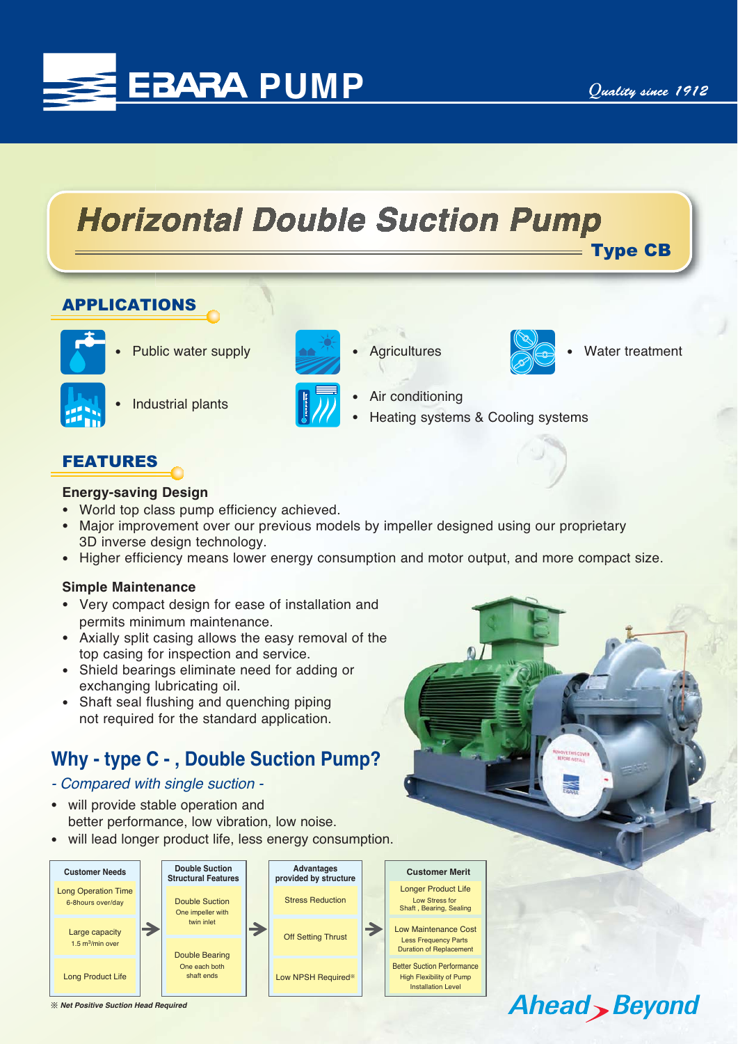Type CB

Water treatment

Ahead Beyond



# **Horizontal Double Suction Pump**

-

## APPLICATIONS



-Public water supply



-Industrial plants



-Air conditioning

**Agricultures** 

-Heating systems & Cooling systems

 $\mathbb{O}$ 

## FEATURES

#### **Energy-saving Design**

- World top class pump efficiency achieved.
- - Major improvement over our previous models by impeller designed using our proprietary 3D inverse design technology.
- Higher efficiency means lower energy consumption and motor output, and more compact size.

#### **Simple Maintenance**

- Very compact design for ease of installation and permits minimum maintenance.
- Axially split casing allows the easy removal of the top casing for inspection and service. ne<br>?<br>on.
- Shield bearings eliminate need for adding or exchanging lubricating oil.
- Shaft seal flushing and quenching piping not required for the standard application.

# **Why - type C - , Double Suction Pump?**

- *Compared with single suction -*
- $\bullet$  will provide stable operation and better performance, low vibration, low noise.
- will lead longer product life, less energy consumption.



ͤ *Net Positive Suction Head Required*